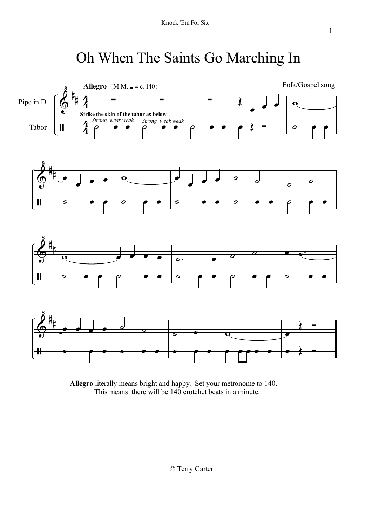## Oh When The Saints Go Marching In



**Allegro** literally means bright and happy. Set your metronome to 140. This means there will be 140 crotchet beats in a minute.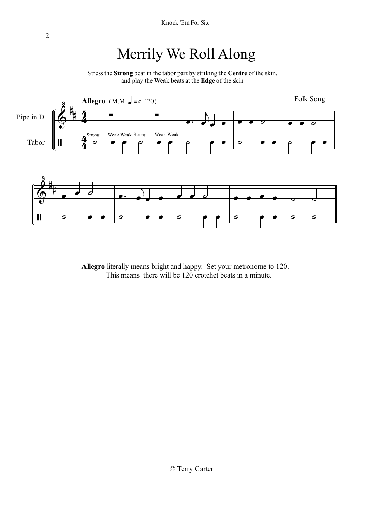### Merrily We Roll Along

Stress the **Strong** beat in the tabor part by striking the **Centre** of the skin, and play the **Wea**k beats at the **Edge** of the skin



**Allegro** literally means bright and happy. Set your metronome to 120. This means there will be 120 crotchet beats in a minute.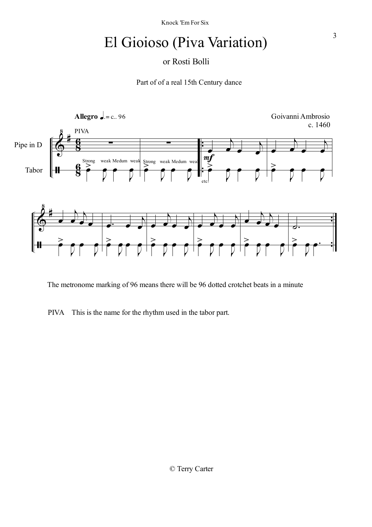## El Gioioso (Piva Variation)

#### or Rosti Bolli

Part of of a real 15th Century dance



The metronome marking of 96 means there will be 96 dotted crotchet beats in a minute

PIVA This is the name for the rhythm used in the tabor part.

3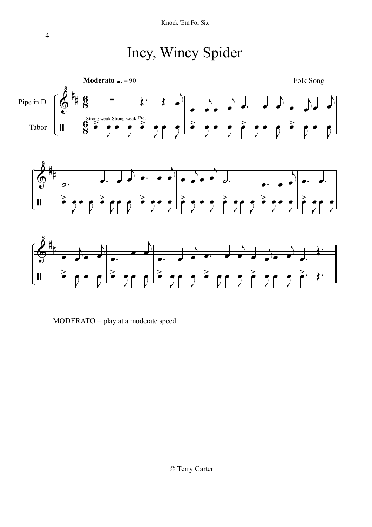## Incy, Wincy Spider







MODERATO = play at a moderate speed.